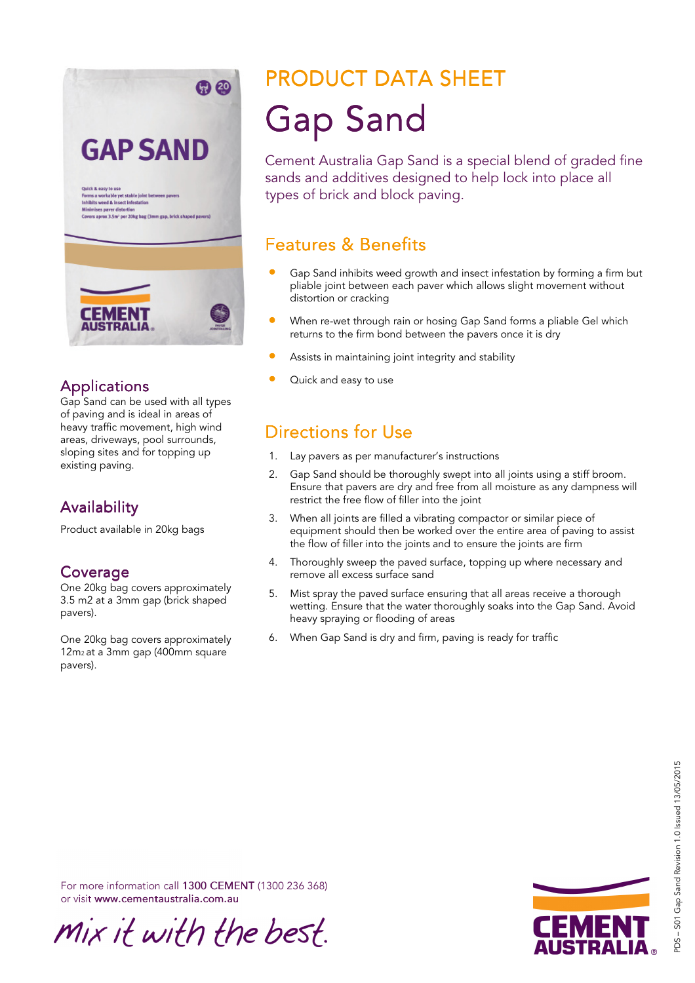

#### **Applications**

Gap Sand can be used with all types of paving and is ideal in areas of heavy traffic movement, high wind areas, driveways, pool surrounds, sloping sites and for topping up existing paving.

## **Availability**

Product available in 20kg bags

#### Coverage

One 20kg bag covers approximately 3.5 m2 at a 3mm gap (brick shaped pavers).

One 20kg bag covers approximately 12m2 at a 3mm gap (400mm square pavers).

# PRODUCT DATA SHEET **Gap Sand**

Cement Australia Gap Sand is a special blend of graded fine sands and additives designed to help lock into place all types of brick and block paving.

## **Features & Benefits**

- Gap Sand inhibits weed growth and insect infestation by forming a firm but pliable joint between each paver which allows slight movement without distortion or cracking
- When re-wet through rain or hosing Gap Sand forms a pliable Gel which returns to the firm bond between the pavers once it is dry
- Assists in maintaining joint integrity and stability
- Quick and easy to use

## Directions for Use

- 1. Lay pavers as per manufacturer's instructions
- 2. Gap Sand should be thoroughly swept into all joints using a stiff broom. Ensure that pavers are dry and free from all moisture as any dampness will restrict the free flow of filler into the joint
- 3. When all joints are filled a vibrating compactor or similar piece of equipment should then be worked over the entire area of paving to assist the flow of filler into the joints and to ensure the joints are firm
- 4. Thoroughly sweep the paved surface, topping up where necessary and remove all excess surface sand
- 5. Mist spray the paved surface ensuring that all areas receive a thorough wetting. Ensure that the water thoroughly soaks into the Gap Sand. Avoid heavy spraying or flooding of areas
- 6. When Gap Sand is dry and firm, paving is ready for traffic

PDS – S01 Gap Sand Revision 1.0 Issued 13/05/2015 PDS-S01 Gap Sand Revision 1.0 Issued 13/05/2015

For more information call 1300 CEMENT (1300 236 368) or visit www.cementaustralia.com.au

mix it with the best.